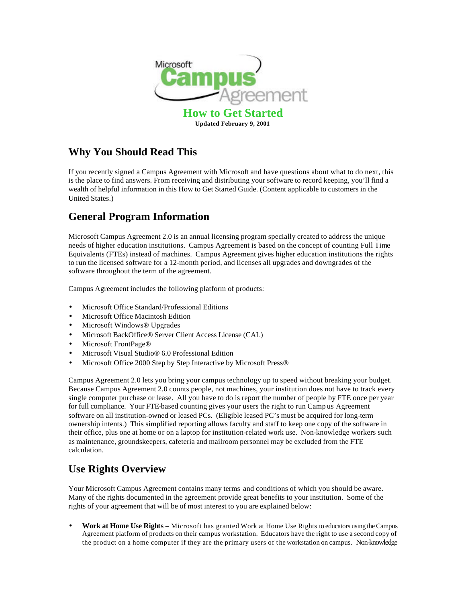

# **Why You Should Read This**

If you recently signed a Campus Agreement with Microsoft and have questions about what to do next, this is the place to find answers. From receiving and distributing your software to record keeping, you'll find a wealth of helpful information in this How to Get Started Guide. (Content applicable to customers in the United States.)

# **General Program Information**

Microsoft Campus Agreement 2.0 is an annual licensing program specially created to address the unique needs of higher education institutions. Campus Agreement is based on the concept of counting Full Time Equivalents (FTEs) instead of machines. Campus Agreement gives higher education institutions the rights to run the licensed software for a 12-month period, and licenses all upgrades and downgrades of the software throughout the term of the agreement.

Campus Agreement includes the following platform of products:

- Microsoft Office Standard/Professional Editions
- Microsoft Office Macintosh Edition
- Microsoft Windows® Upgrades
- Microsoft BackOffice® Server Client Access License (CAL)
- Microsoft FrontPage<sup>®</sup>
- Microsoft Visual Studio<sup>®</sup> 6.0 Professional Edition
- Microsoft Office 2000 Step by Step Interactive by Microsoft Press®

Campus Agreement 2.0 lets you bring your campus technology up to speed without breaking your budget. Because Campus Agreement 2.0 counts people, not machines, your institution does not have to track every single computer purchase or lease. All you have to do is report the number of people by FTE once per year for full compliance. Your FTE-based counting gives your users the right to run Camp us Agreement software on all institution-owned or leased PCs. (Eligible leased PC's must be acquired for long-term ownership intents.) This simplified reporting allows faculty and staff to keep one copy of the software in their office, plus one at home or on a laptop for institution-related work use. Non-knowledge workers such as maintenance, groundskeepers, cafeteria and mailroom personnel may be excluded from the FTE calculation.

# **Use Rights Overview**

Your Microsoft Campus Agreement contains many terms and conditions of which you should be aware. Many of the rights documented in the agreement provide great benefits to your institution. Some of the rights of your agreement that will be of most interest to you are explained below:

• **Work at Home Use Rights –** Microsoft has granted Work at Home Use Rights to educators using the Campus Agreement platform of products on their campus workstation. Educators have the right to use a second copy of the product on a home computer if they are the primary users of the workstation on campus. Non-knowledge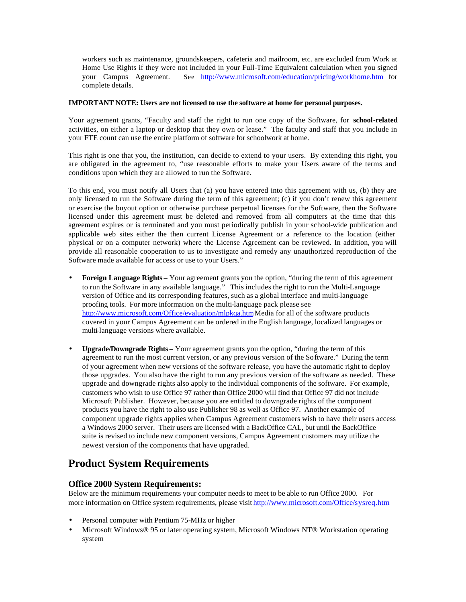workers such as maintenance, groundskeepers, cafeteria and mailroom, etc. are excluded from Work at Home Use Rights if they were not included in your Full-Time Equivalent calculation when you signed your Campus Agreement. See http://www.microsoft.com/education/pricing/workhome.htm for complete details.

#### **IMPORTANT NOTE: Users are not licensed to use the software at home for personal purposes.**

Your agreement grants, "Faculty and staff the right to run one copy of the Software, for **school-related** activities, on either a laptop or desktop that they own or lease." The faculty and staff that you include in your FTE count can use the entire platform of software for schoolwork at home.

This right is one that you, the institution, can decide to extend to your users. By extending this right, you are obligated in the agreement to, "use reasonable efforts to make your Users aware of the terms and conditions upon which they are allowed to run the Software.

To this end, you must notify all Users that (a) you have entered into this agreement with us, (b) they are only licensed to run the Software during the term of this agreement; (c) if you don't renew this agreement or exercise the buyout option or otherwise purchase perpetual licenses for the Software, then the Software licensed under this agreement must be deleted and removed from all computers at the time that this agreement expires or is terminated and you must periodically publish in your school-wide publication and applicable web sites either the then current License Agreement or a reference to the location (either physical or on a computer network) where the License Agreement can be reviewed. In addition, you will provide all reasonable cooperation to us to investigate and remedy any unauthorized reproduction of the Software made available for access or use to your Users."

- **Foreign Language Rights –** Your agreement grants you the option, "during the term of this agreement to run the Software in any available language." This includes the right to run the Multi-Language version of Office and its corresponding features, such as a global interface and multi-language proofing tools. For more information on the multi-language pack please see http://www.microsoft.com/Office/evaluation/mlpkqa.htm Media for all of the software products covered in your Campus Agreement can be ordered in the English language, localized languages or multi-language versions where available.
- **Upgrade/Downgrade Rights –** Your agreement grants you the option, "during the term of this agreement to run the most current version, or any previous version of the Software." During the term of your agreement when new versions of the software release, you have the automatic right to deploy those upgrades. You also have the right to run any previous version of the software as needed. These upgrade and downgrade rights also apply to the individual components of the software. For example, customers who wish to use Office 97 rather than Office 2000 will find that Office 97 did not include Microsoft Publisher. However, because you are entitled to downgrade rights of the component products you have the right to also use Publisher 98 as well as Office 97. Another example of component upgrade rights applies when Campus Agreement customers wish to have their users access a Windows 2000 server. Their users are licensed with a BackOffice CAL, but until the BackOffice suite is revised to include new component versions, Campus Agreement customers may utilize the newest version of the components that have upgraded.

# **Product System Requirements**

## **Office 2000 System Requirements:**

Below are the minimum requirements your computer needs to meet to be able to run Office 2000. For more information on Office system requirements, please visit http://www.microsoft.com/Office/sysreq.htm

- Personal computer with Pentium 75-MHz or higher
- Microsoft Windows® 95 or later operating system, Microsoft Windows NT® Workstation operating system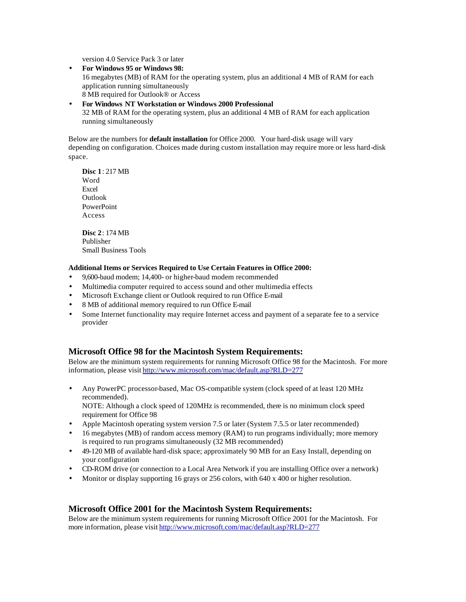version 4.0 Service Pack 3 or later

- **For Windows 95 or Windows 98:**  16 megabytes (MB) of RAM for the operating system, plus an additional 4 MB of RAM for each application running simultaneously 8 MB required for Outlook® or Access
- **For Windows NT Workstation or Windows 2000 Professional** 32 MB of RAM for the operating system, plus an additional 4 MB of RAM for each application running simultaneously

Below are the numbers for **default installation** for Office 2000. Your hard-disk usage will vary depending on configuration. Choices made during custom installation may require more or less hard-disk space.

**Disc 1**: 217 MB Word Excel Outlook PowerPoint Access

**Disc 2**: 174 MB Publisher Small Business Tools

### **Additional Items or Services Required to Use Certain Features in Office 2000:**

- 9,600-baud modem; 14,400- or higher-baud modem recommended
- Multimedia computer required to access sound and other multimedia effects
- Microsoft Exchange client or Outlook required to run Office E-mail
- 8 MB of additional memory required to run Office E-mail
- Some Internet functionality may require Internet access and payment of a separate fee to a service provider

# **Microsoft Office 98 for the Macintosh System Requirements:**

Below are the minimum system requirements for running Microsoft Office 98 for the Macintosh. For more information, please visit http://www.microsoft.com/mac/default.asp?RLD=277

- Any PowerPC processor-based, Mac OS-compatible system (clock speed of at least 120 MHz recommended). NOTE: Although a clock speed of 120MHz is recommended, there is no minimum clock speed requirement for Office 98
- Apple Macintosh operating system version 7.5 or later (System 7.5.5 or later recommended)
- 16 megabytes (MB) of random access memory (RAM) to run programs individually; more memory is required to run programs simultaneously (32 MB recommended)
- 49-120 MB of available hard-disk space; approximately 90 MB for an Easy Install, depending on your configuration
- CD-ROM drive (or connection to a Local Area Network if you are installing Office over a network)
- Monitor or display supporting 16 grays or 256 colors, with 640 x 400 or higher resolution.

# **Microsoft Office 2001 for the Macintosh System Requirements:**

Below are the minimum system requirements for running Microsoft Office 2001 for the Macintosh. For more information, please visit http://www.microsoft.com/mac/default.asp?RLD=277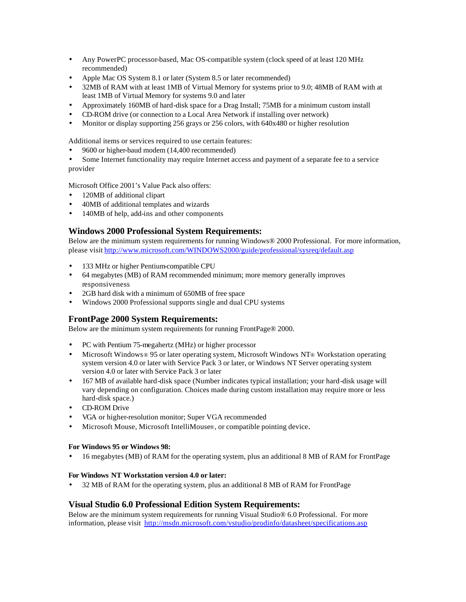- Any PowerPC processor-based, Mac OS-compatible system (clock speed of at least 120 MHz recommended)
- Apple Mac OS System 8.1 or later (System 8.5 or later recommended)
- 32MB of RAM with at least 1MB of Virtual Memory for systems prior to 9.0; 48MB of RAM with at least 1MB of Virtual Memory for systems 9.0 and later
- Approximately 160MB of hard-disk space for a Drag Install; 75MB for a minimum custom install
- CD-ROM drive (or connection to a Local Area Network if installing over network)
- Monitor or display supporting 256 grays or 256 colors, with 640x480 or higher resolution

Additional items or services required to use certain features:

• 9600 or higher-baud modem (14,400 recommended)

Some Internet functionality may require Internet access and payment of a separate fee to a service provider

Microsoft Office 2001's Value Pack also offers:

- 120MB of additional clipart
- 40MB of additional templates and wizards
- 140MB of help, add-ins and other components

# **Windows 2000 Professional System Requirements:**

Below are the minimum system requirements for running Windows® 2000 Professional. For more information, please visit http://www.microsoft.com/WINDOWS2000/guide/professional/sysreq/default.asp

- 133 MHz or higher Pentium-compatible CPU
- 64 megabytes (MB) of RAM recommended minimum; more memory generally improves responsiveness
- 2GB hard disk with a minimum of 650MB of free space
- Windows 2000 Professional supports single and dual CPU systems

## **FrontPage 2000 System Requirements:**

Below are the minimum system requirements for running FrontPage® 2000.

- PC with Pentium 75-megahertz (MHz) or higher processor
- Microsoft Windows ® 95 or later operating system, Microsoft Windows NT® Workstation operating system version 4.0 or later with Service Pack 3 or later, or Windows NT Server operating system version 4.0 or later with Service Pack 3 or later
- 167 MB of available hard-disk space (Number indicates typical installation; your hard-disk usage will vary depending on configuration. Choices made during custom installation may require more or less hard-disk space.)
- CD-ROM Drive
- VGA or higher-resolution monitor; Super VGA recommended
- Microsoft Mouse, Microsoft IntelliMouse®, or compatible pointing device.

### **For Windows 95 or Windows 98:**

• 16 megabytes (MB) of RAM for the operating system, plus an additional 8 MB of RAM for FrontPage

### **For Windows NT Workstation version 4.0 or later:**

• 32 MB of RAM for the operating system, plus an additional 8 MB of RAM for FrontPage

## **Visual Studio 6.0 Professional Edition System Requirements:**

Below are the minimum system requirements for running Visual Studio® 6.0 Professional. For more information, please visit http://msdn.microsoft.com/vstudio/prodinfo/datasheet/specifications.asp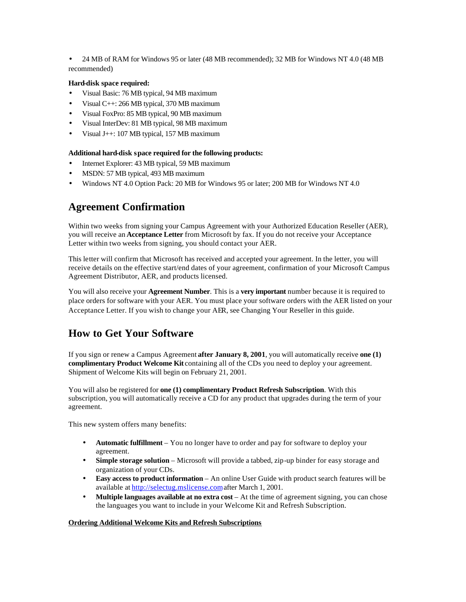• 24 MB of RAM for Windows 95 or later (48 MB recommended); 32 MB for Windows NT 4.0 (48 MB recommended)

### **Hard-disk space required:**

- Visual Basic: 76 MB typical, 94 MB maximum
- Visual C++: 266 MB typical, 370 MB maximum
- Visual FoxPro: 85 MB typical, 90 MB maximum
- Visual InterDev: 81 MB typical, 98 MB maximum
- Visual J++: 107 MB typical, 157 MB maximum

#### **Additional hard-disk space required for the following products:**

- Internet Explorer: 43 MB typical, 59 MB maximum
- MSDN: 57 MB typical, 493 MB maximum
- Windows NT 4.0 Option Pack: 20 MB for Windows 95 or later; 200 MB for Windows NT 4.0

# **Agreement Confirmation**

Within two weeks from signing your Campus Agreement with your Authorized Education Reseller (AER), you will receive an **Acceptance Letter** from Microsoft by fax. If you do not receive your Acceptance Letter within two weeks from signing, you should contact your AER.

This letter will confirm that Microsoft has received and accepted your agreement. In the letter, you will receive details on the effective start/end dates of your agreement, confirmation of your Microsoft Campus Agreement Distributor, AER, and products licensed.

You will also receive your **Agreement Number**. This is a **very important** number because it is required to place orders for software with your AER. You must place your software orders with the AER listed on your Acceptance Letter. If you wish to change your AER, see Changing Your Reseller in this guide.

# **How to Get Your Software**

If you sign or renew a Campus Agreement **after January 8, 2001**, you will automatically receive **one (1) complimentary Product Welcome Kit** containing all of the CDs you need to deploy your agreement. Shipment of Welcome Kits will begin on February 21, 2001.

You will also be registered for **one (1) complimentary Product Refresh Subscription**. With this subscription, you will automatically receive a CD for any product that upgrades during the term of your agreement.

This new system offers many benefits:

- **Automatic fulfillment** You no longer have to order and pay for software to deploy your agreement.
- **Simple storage solution** Microsoft will provide a tabbed, zip-up binder for easy storage and organization of your CDs.
- **Easy access to product information** An online User Guide with product search features will be available at http://selectug.mslicense.com after March 1, 2001.
- **Multiple languages available at no extra cost** At the time of agreement signing, you can chose the languages you want to include in your Welcome Kit and Refresh Subscription.

### **Ordering Additional Welcome Kits and Refresh Subscriptions**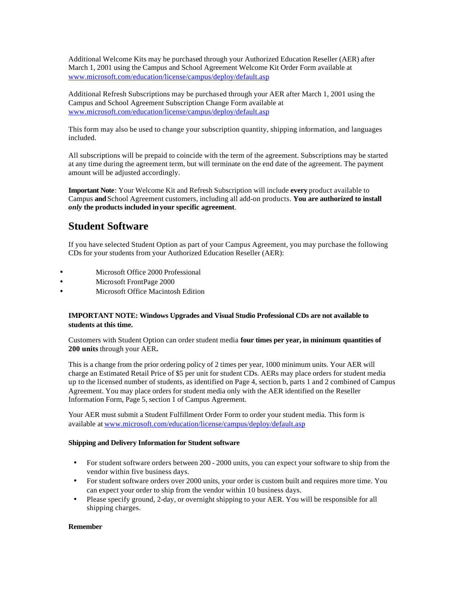Additional Welcome Kits may be purchased through your Authorized Education Reseller (AER) after March 1, 2001 using the Campus and School Agreement Welcome Kit Order Form available at www.microsoft.com/education/license/campus/deploy/default.asp

Additional Refresh Subscriptions may be purchased through your AER after March 1, 2001 using the Campus and School Agreement Subscription Change Form available at www.microsoft.com/education/license/campus/deploy/default.asp

This form may also be used to change your subscription quantity, shipping information, and languages included.

All subscriptions will be prepaid to coincide with the term of the agreement. Subscriptions may be started at any time during the agreement term, but will terminate on the end date of the agreement. The payment amount will be adjusted accordingly.

**Important Note**: Your Welcome Kit and Refresh Subscription will include **every** product available to Campus **and** School Agreement customers, including all add-on products. **You are authorized to install**  *only* **the products included in your specific agreement**.

# **Student Software**

If you have selected Student Option as part of your Campus Agreement, you may purchase the following CDs for your students from your Authorized Education Reseller (AER):

- Microsoft Office 2000 Professional
- Microsoft FrontPage 2000
- Microsoft Office Macintosh Edition

### **IMPORTANT NOTE: Windows Upgrades and Visual Studio Professional CDs are not available to students at this time.**

Customers with Student Option can order student media **four times per year, in minimum quantities of 200 units** through your AER**.**

This is a change from the prior ordering policy of 2 times per year, 1000 minimum units. Your AER will charge an Estimated Retail Price of \$5 per unit for student CDs. AERs may place orders for student media up to the licensed number of students, as identified on Page 4, section b, parts 1 and 2 combined of Campus Agreement. You may place orders for student media only with the AER identified on the Reseller Information Form, Page 5, section 1 of Campus Agreement.

Your AER must submit a Student Fulfillment Order Form to order your student media. This form is available at www.microsoft.com/education/license/campus/deploy/default.asp

#### **Shipping and Delivery Information for Student software**

- For student software orders between 200 2000 units, you can expect your software to ship from the vendor within five business days.
- For student software orders over 2000 units, your order is custom built and requires more time. You can expect your order to ship from the vendor within 10 business days.
- Please specify ground, 2-day, or overnight shipping to your AER. You will be responsible for all shipping charges.

#### **Remember**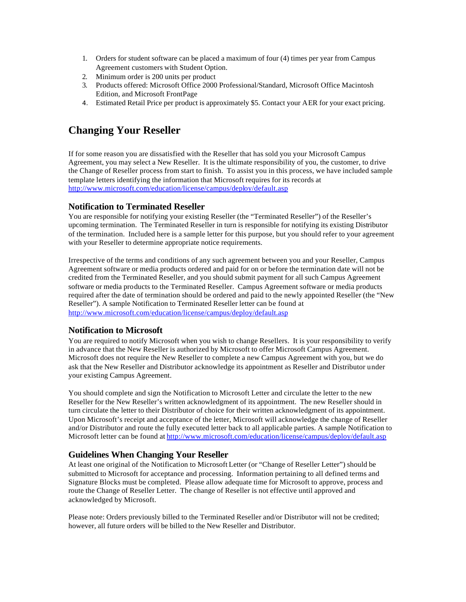- 1. Orders for student software can be placed a maximum of four (4) times per year from Campus Agreement customers with Student Option.
- 2. Minimum order is 200 units per product
- 3. Products offered: Microsoft Office 2000 Professional/Standard, Microsoft Office Macintosh Edition, and Microsoft FrontPage
- 4. Estimated Retail Price per product is approximately \$5. Contact your AER for your exact pricing.

# **Changing Your Reseller**

If for some reason you are dissatisfied with the Reseller that has sold you your Microsoft Campus Agreement, you may select a New Reseller. It is the ultimate responsibility of you, the customer, to drive the Change of Reseller process from start to finish. To assist you in this process, we have included sample template letters identifying the information that Microsoft requires for its records at http://www.microsoft.com/education/license/campus/deploy/default.asp

# **Notification to Terminated Reseller**

You are responsible for notifying your existing Reseller (the "Terminated Reseller") of the Reseller's upcoming termination. The Terminated Reseller in turn is responsible for notifying its existing Distributor of the termination. Included here is a sample letter for this purpose, but you should refer to your agreement with your Reseller to determine appropriate notice requirements.

Irrespective of the terms and conditions of any such agreement between you and your Reseller, Campus Agreement software or media products ordered and paid for on or before the termination date will not be credited from the Terminated Reseller, and you should submit payment for all such Campus Agreement software or media products to the Terminated Reseller. Campus Agreement software or media products required after the date of termination should be ordered and paid to the newly appointed Reseller (the "New Reseller"). A sample Notification to Terminated Reseller letter can be found at http://www.microsoft.com/education/license/campus/deploy/default.asp

# **Notification to Microsoft**

You are required to notify Microsoft when you wish to change Resellers. It is your responsibility to verify in advance that the New Reseller is authorized by Microsoft to offer Microsoft Campus Agreement. Microsoft does not require the New Reseller to complete a new Campus Agreement with you, but we do ask that the New Reseller and Distributor acknowledge its appointment as Reseller and Distributor under your existing Campus Agreement.

You should complete and sign the Notification to Microsoft Letter and circulate the letter to the new Reseller for the New Reseller's written acknowledgment of its appointment. The new Reseller should in turn circulate the letter to their Distributor of choice for their written acknowledgment of its appointment. Upon Microsoft's receipt and acceptance of the letter, Microsoft will acknowledge the change of Reseller and/or Distributor and route the fully executed letter back to all applicable parties. A sample Notification to Microsoft letter can be found at http://www.microsoft.com/education/license/campus/deploy/default.asp

# **Guidelines When Changing Your Reseller**

At least one original of the Notification to Microsoft Letter (or "Change of Reseller Letter") should be submitted to Microsoft for acceptance and processing. Information pertaining to all defined terms and Signature Blocks must be completed. Please allow adequate time for Microsoft to approve, process and route the Change of Reseller Letter. The change of Reseller is not effective until approved and acknowledged by Microsoft.

Please note: Orders previously billed to the Terminated Reseller and/or Distributor will not be credited; however, all future orders will be billed to the New Reseller and Distributor.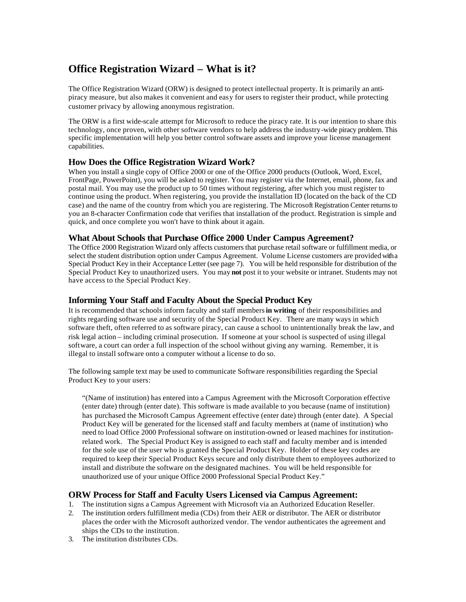# **Office Registration Wizard – What is it?**

The Office Registration Wizard (ORW) is designed to protect intellectual property. It is primarily an antipiracy measure, but also makes it convenient and easy for users to register their product, while protecting customer privacy by allowing anonymous registration.

The ORW is a first wide-scale attempt for Microsoft to reduce the piracy rate. It is our intention to share this technology, once proven, with other software vendors to help address the industry-wide piracy problem. This specific implementation will help you better control software assets and improve your license management capabilities.

## **How Does the Office Registration Wizard Work?**

When you install a single copy of Office 2000 or one of the Office 2000 products (Outlook, Word, Excel, FrontPage, PowerPoint), you will be asked to register. You may register via the Internet, email, phone, fax and postal mail. You may use the product up to 50 times without registering, after which you must register to continue using the product. When registering, you provide the installation ID (located on the back of the CD case) and the name of the country from which you are registering. The Microsoft Registration Center returns to you an 8-character Confirmation code that verifies that installation of the product. Registration is simple and quick, and once complete you won't have to think about it again.

### **What About Schools that Purchase Office 2000 Under Campus Agreement?**

The Office 2000 Registration Wizard only affects customers that purchase retail software or fulfillment media, or select the student distribution option under Campus Agreement. Volume License customers are provided with a Special Product Key in their Acceptance Letter (see page 7). You will be held responsible for distribution of the Special Product Key to unauthorized users. You may **not** post it to your website or intranet. Students may not have access to the Special Product Key.

### **Informing Your Staff and Faculty About the Special Product Key**

It is recommended that schools inform faculty and staff members **in writing** of their responsibilities and rights regarding software use and security of the Special Product Key. There are many ways in which software theft, often referred to as software piracy, can cause a school to unintentionally break the law, and risk legal action – including criminal prosecution. If someone at your school is suspected of using illegal software, a court can order a full inspection of the school without giving any warning. Remember, it is illegal to install software onto a computer without a license to do so.

The following sample text may be used to communicate Software responsibilities regarding the Special Product Key to your users:

"(Name of institution) has entered into a Campus Agreement with the Microsoft Corporation effective (enter date) through (enter date). This software is made available to you because (name of institution) has purchased the Microsoft Campus Agreement effective (enter date) through (enter date). A Special Product Key will be generated for the licensed staff and faculty members at (name of institution) who need to load Office 2000 Professional software on institution-owned or leased machines for institutionrelated work. The Special Product Key is assigned to each staff and faculty member and is intended for the sole use of the user who is granted the Special Product Key. Holder of these key codes are required to keep their Special Product Keys secure and only distribute them to employees authorized to install and distribute the software on the designated machines. You will be held responsible for unauthorized use of your unique Office 2000 Professional Special Product Key."

## **ORW Process for Staff and Faculty Users Licensed via Campus Agreement:**

- 1. The institution signs a Campus Agreement with Microsoft via an Authorized Education Reseller.
- 2. The institution orders fulfillment media (CDs) from their AER or distributor. The AER or distributor places the order with the Microsoft authorized vendor. The vendor authenticates the agreement and ships the CDs to the institution.
- 3. The institution distributes CDs.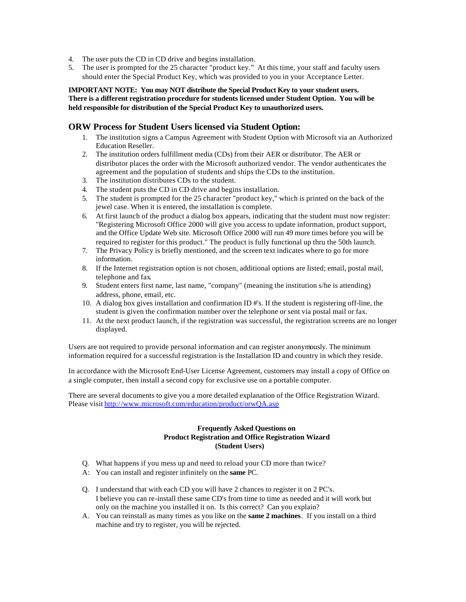- 4. The user puts the CD in CD drive and begins installation.
- 5. The user is prompted for the 25 character "product key." At this time, your staff and faculty users should enter the Special Product Key, which was provided to you in your Acceptance Letter.

### **IMPORTANT NOTE: You may NOT distribute the Special Product Key to your student users. There is a different registration procedure for students licensed under Student Option. You will be held responsible for distribution of the Special Product Key to unauthorized users.**

### **ORW Process for Student Users licensed via Student Option:**

- 1. The institution signs a Campus Agreement with Student Option with Microsoft via an Authorized Education Reseller.
- 2. The institution orders fulfillment media (CDs) from their AER or distributor. The AER or distributor places the order with the Microsoft authorized vendor. The vendor authenticates the agreement and the population of students and ships the CDs to the institution.
- 3. The institution distributes CDs to the student.
- 4. The student puts the CD in CD drive and begins installation.
- 5. The student is prompted for the 25 character "product key," which is printed on the back of the jewel case. When it is entered, the installation is complete.
- 6. At first launch of the product a dialog box appears, indicating that the student must now register: "Registering Microsoft Office 2000 will give you access to update information, product support, and the Office Update Web site. Microsoft Office 2000 will run 49 more times before you will be required to register for this product." The product is fully functional up thru the 50th launch.
- 7. The Privacy Policy is briefly mentioned, and the screen text indicates where to go for more information.
- 8. If the Internet registration option is not chosen, additional options are listed; email, postal mail, telephone and fax.
- 9. Student enters first name, last name, "company" (meaning the institution s/he is attending) address, phone, email, etc.
- 10. A dialog box gives installation and confirmation ID #'s. If the student is registering off-line, the student is given the confirmation number over the telephone or sent via postal mail or fax.
- 11. At the next product launch, if the registration was successful, the registration screens are no longer displayed.

Users are not required to provide personal information and can register anonymously. The minimum information required for a successful registration is the Installation ID and country in which they reside.

In accordance with the Microsoft End-User License Agreement, customers may install a copy of Office on a single computer, then install a second copy for exclusive use on a portable computer.

There are several documents to give you a more detailed explanation of the Office Registration Wizard. Please visit http://www.microsoft.com/education/product/orwQA.asp

### **Frequently Asked Questions on Product Registration and Office Registration Wizard (Student Users)**

- Q. What happens if you mess up and need to reload your CD more than twice?
- A: You can install and register infinitely on the **same** PC.
- Q. I understand that with each CD you will have 2 chances to register it on 2 PC's. I believe you can re-install these same CD's from time to time as needed and it will work but only on the machine you installed it on. Is this correct? Can you explain?
- A. You can reinstall as many times as you like on the **same 2 machines**. If you install on a third machine and try to register, you will be rejected.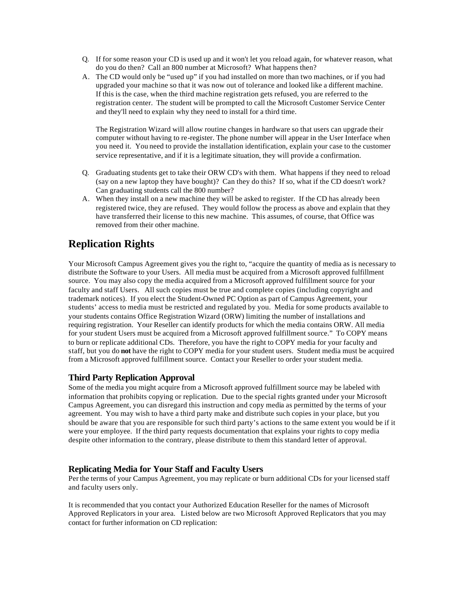- Q. If for some reason your CD is used up and it won't let you reload again, for whatever reason, what do you do then? Call an 800 number at Microsoft? What happens then?
- A. The CD would only be "used up" if you had installed on more than two machines, or if you had upgraded your machine so that it was now out of tolerance and looked like a different machine. If this is the case, when the third machine registration gets refused, you are referred to the registration center. The student will be prompted to call the Microsoft Customer Service Center and they'll need to explain why they need to install for a third time.

The Registration Wizard will allow routine changes in hardware so that users can upgrade their computer without having to re-register. The phone number will appear in the User Interface when you need it. You need to provide the installation identification, explain your case to the customer service representative, and if it is a legitimate situation, they will provide a confirmation.

- Q. Graduating students get to take their ORW CD's with them. What happens if they need to reload (say on a new laptop they have bought)? Can they do this? If so, what if the CD doesn't work? Can graduating students call the 800 number?
- A. When they install on a new machine they will be asked to register. If the CD has already been registered twice, they are refused. They would follow the process as above and explain that they have transferred their license to this new machine. This assumes, of course, that Office was removed from their other machine.

# **Replication Rights**

Your Microsoft Campus Agreement gives you the right to, "acquire the quantity of media as is necessary to distribute the Software to your Users. All media must be acquired from a Microsoft approved fulfillment source. You may also copy the media acquired from a Microsoft approved fulfillment source for your faculty and staff Users. All such copies must be true and complete copies (including copyright and trademark notices). If you elect the Student-Owned PC Option as part of Campus Agreement, your students' access to media must be restricted and regulated by you. Media for some products available to your students contains Office Registration Wizard (ORW) limiting the number of installations and requiring registration. Your Reseller can identify products for which the media contains ORW. All media for your student Users must be acquired from a Microsoft approved fulfillment source." To COPY means to burn or replicate additional CDs. Therefore, you have the right to COPY media for your faculty and staff, but you do **not** have the right to COPY media for your student users. Student media must be acquired from a Microsoft approved fulfillment source. Contact your Reseller to order your student media.

## **Third Party Replication Approval**

Some of the media you might acquire from a Microsoft approved fulfillment source may be labeled with information that prohibits copying or replication. Due to the special rights granted under your Microsoft Campus Agreement, you can disregard this instruction and copy media as permitted by the terms of your agreement. You may wish to have a third party make and distribute such copies in your place, but you should be aware that you are responsible for such third party's actions to the same extent you would be if it were your employee. If the third party requests documentation that explains your rights to copy media despite other information to the contrary, please distribute to them this standard letter of approval.

# **Replicating Media for Your Staff and Faculty Users**

Per the terms of your Campus Agreement, you may replicate or burn additional CDs for your licensed staff and faculty users only.

It is recommended that you contact your Authorized Education Reseller for the names of Microsoft Approved Replicators in your area. Listed below are two Microsoft Approved Replicators that you may contact for further information on CD replication: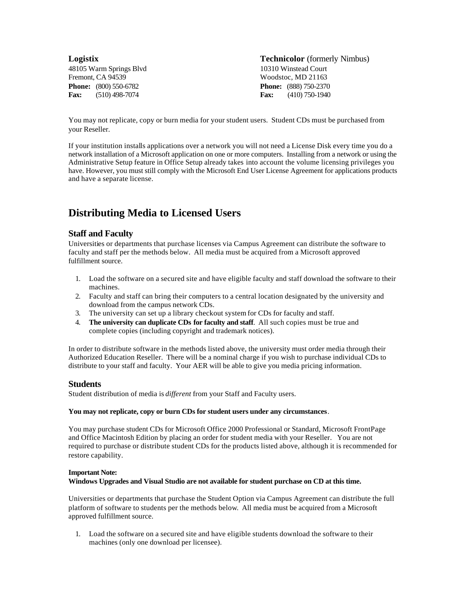48105 Warm Springs Blvd 10310 Winstead Court Fremont, CA 94539 Woodstoc, MD 21163 **Phone:** (800) 550-6782 **Phone:** (888) 750-2370 **Fax:** (510) 498-7074 **Fax:** (410) 750-1940

**Logistix Technicolor** (formerly Nimbus)

You may not replicate, copy or burn media for your student users. Student CDs must be purchased from your Reseller.

If your institution installs applications over a network you will not need a License Disk every time you do a network installation of a Microsoft application on one or more computers. Installing from a network or using the Administrative Setup feature in Office Setup already takes into account the volume licensing privileges you have. However, you must still comply with the Microsoft End User License Agreement for applications products and have a separate license.

# **Distributing Media to Licensed Users**

## **Staff and Faculty**

Universities or departments that purchase licenses via Campus Agreement can distribute the software to faculty and staff per the methods below. All media must be acquired from a Microsoft approved fulfillment source.

- 1. Load the software on a secured site and have eligible faculty and staff download the software to their machines.
- 2. Faculty and staff can bring their computers to a central location designated by the university and download from the campus network CDs.
- 3. The university can set up a library checkout system for CDs for faculty and staff.
- 4. **The university can duplicate CDs for faculty and staff**. All such copies must be true and complete copies (including copyright and trademark notices).

In order to distribute software in the methods listed above, the university must order media through their Authorized Education Reseller. There will be a nominal charge if you wish to purchase individual CDs to distribute to your staff and faculty. Your AER will be able to give you media pricing information.

## **Students**

Student distribution of media is *different* from your Staff and Faculty users.

#### **You may not replicate, copy or burn CDs for student users under any circumstances**.

You may purchase student CDs for Microsoft Office 2000 Professional or Standard, Microsoft FrontPage and Office Macintosh Edition by placing an order for student media with your Reseller. You are not required to purchase or distribute student CDs for the products listed above, although it is recommended for restore capability.

#### **Important Note:**

#### **Windows Upgrades and Visual Studio are not available for student purchase on CD at this time.**

Universities or departments that purchase the Student Option via Campus Agreement can distribute the full platform of software to students per the methods below. All media must be acquired from a Microsoft approved fulfillment source.

1. Load the software on a secured site and have eligible students download the software to their machines (only one download per licensee).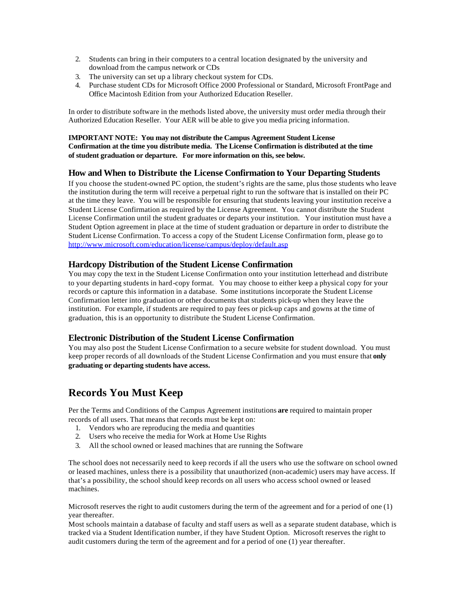- 2. Students can bring in their computers to a central location designated by the university and download from the campus network or CDs
- 3. The university can set up a library checkout system for CDs.
- 4. Purchase student CDs for Microsoft Office 2000 Professional or Standard, Microsoft FrontPage and Office Macintosh Edition from your Authorized Education Reseller.

In order to distribute software in the methods listed above, the university must order media through their Authorized Education Reseller. Your AER will be able to give you media pricing information.

### **IMPORTANT NOTE: You may not distribute the Campus Agreement Student License Confirmation at the time you distribute media. The License Confirmation is distributed at the time of student graduation or departure. For more information on this, see below.**

## **How and When to Distribute the License Confirmation to Your Departing Students**

If you choose the student-owned PC option, the student's rights are the same, plus those students who leave the institution during the term will receive a perpetual right to run the software that is installed on their PC at the time they leave. You will be responsible for ensuring that students leaving your institution receive a Student License Confirmation as required by the License Agreement. You cannot distribute the Student License Confirmation until the student graduates or departs your institution. Your institution must have a Student Option agreement in place at the time of student graduation or departure in order to distribute the Student License Confirmation. To access a copy of the Student License Confirmation form, please go to http://www.microsoft.com/education/license/campus/deploy/default.asp

## **Hardcopy Distribution of the Student License Confirmation**

You may copy the text in the Student License Confirmation onto your institution letterhead and distribute to your departing students in hard-copy format. You may choose to either keep a physical copy for your records or capture this information in a database. Some institutions incorporate the Student License Confirmation letter into graduation or other documents that students pick-up when they leave the institution. For example, if students are required to pay fees or pick-up caps and gowns at the time of graduation, this is an opportunity to distribute the Student License Confirmation.

## **Electronic Distribution of the Student License Confirmation**

You may also post the Student License Confirmation to a secure website for student download. You must keep proper records of all downloads of the Student License Confirmation and you must ensure that **only graduating or departing students have access.** 

# **Records You Must Keep**

Per the Terms and Conditions of the Campus Agreement institutions **are** required to maintain proper records of all users. That means that records must be kept on:

- 1. Vendors who are reproducing the media and quantities
- 2. Users who receive the media for Work at Home Use Rights
- 3. All the school owned or leased machines that are running the Software

The school does not necessarily need to keep records if all the users who use the software on school owned or leased machines, unless there is a possibility that unauthorized (non-academic) users may have access. If that's a possibility, the school should keep records on all users who access school owned or leased machines.

Microsoft reserves the right to audit customers during the term of the agreement and for a period of one (1) year thereafter.

Most schools maintain a database of faculty and staff users as well as a separate student database, which is tracked via a Student Identification number, if they have Student Option. Microsoft reserves the right to audit customers during the term of the agreement and for a period of one (1) year thereafter.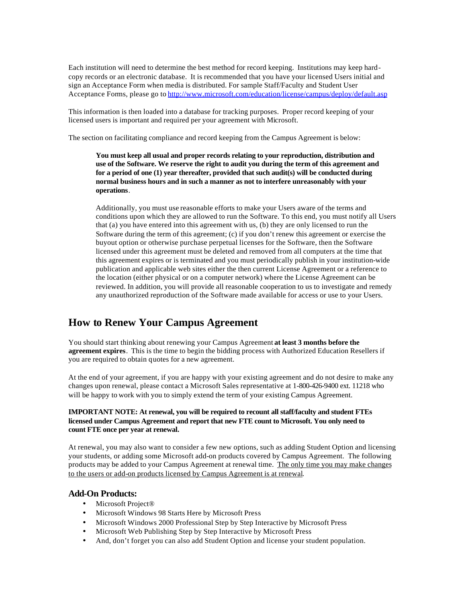Each institution will need to determine the best method for record keeping. Institutions may keep hardcopy records or an electronic database. It is recommended that you have your licensed Users initial and sign an Acceptance Form when media is distributed. For sample Staff/Faculty and Student User Acceptance Forms, please go to http://www.microsoft.com/education/license/campus/deploy/default.asp

This information is then loaded into a database for tracking purposes. Proper record keeping of your licensed users is important and required per your agreement with Microsoft.

The section on facilitating compliance and record keeping from the Campus Agreement is below:

**You must keep all usual and proper records relating to your reproduction, distribution and use of the Software. We reserve the right to audit you during the term of this agreement and for a period of one (1) year thereafter, provided that such audit(s) will be conducted during normal business hours and in such a manner as not to interfere unreasonably with your operations**.

Additionally, you must use reasonable efforts to make your Users aware of the terms and conditions upon which they are allowed to run the Software. To this end, you must notify all Users that (a) you have entered into this agreement with us, (b) they are only licensed to run the Software during the term of this agreement; (c) if you don't renew this agreement or exercise the buyout option or otherwise purchase perpetual licenses for the Software, then the Software licensed under this agreement must be deleted and removed from all computers at the time that this agreement expires or is terminated and you must periodically publish in your institution-wide publication and applicable web sites either the then current License Agreement or a reference to the location (either physical or on a computer network) where the License Agreement can be reviewed. In addition, you will provide all reasonable cooperation to us to investigate and remedy any unauthorized reproduction of the Software made available for access or use to your Users.

# **How to Renew Your Campus Agreement**

You should start thinking about renewing your Campus Agreement **at least 3 months before the agreement expires**. This is the time to begin the bidding process with Authorized Education Resellers if you are required to obtain quotes for a new agreement.

At the end of your agreement, if you are happy with your existing agreement and do not desire to make any changes upon renewal, please contact a Microsoft Sales representative at 1-800-426-9400 ext. 11218 who will be happy to work with you to simply extend the term of your existing Campus Agreement.

### **IMPORTANT NOTE: At renewal, you will be required to recount all staff/faculty and student FTEs licensed under Campus Agreement and report that new FTE count to Microsoft. You only need to count FTE once per year at renewal.**

At renewal, you may also want to consider a few new options, such as adding Student Option and licensing your students, or adding some Microsoft add-on products covered by Campus Agreement. The following products may be added to your Campus Agreement at renewal time. The only time you may make changes to the users or add-on products licensed by Campus Agreement is at renewal.

### **Add-On Products:**

- Microsoft Project<sup>®</sup>
- Microsoft Windows 98 Starts Here by Microsoft Press
- Microsoft Windows 2000 Professional Step by Step Interactive by Microsoft Press
- Microsoft Web Publishing Step by Step Interactive by Microsoft Press
- And, don't forget you can also add Student Option and license your student population.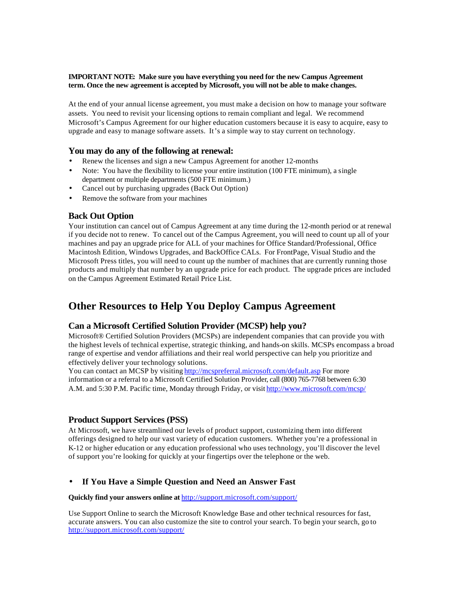#### **IMPORTANT NOTE: Make sure you have everything you need for the new Campus Agreement term. Once the new agreement is accepted by Microsoft, you will not be able to make changes.**

At the end of your annual license agreement, you must make a decision on how to manage your software assets. You need to revisit your licensing options to remain compliant and legal. We recommend Microsoft's Campus Agreement for our higher education customers because it is easy to acquire, easy to upgrade and easy to manage software assets. It's a simple way to stay current on technology.

## **You may do any of the following at renewal:**

- Renew the licenses and sign a new Campus Agreement for another 12-months
- Note: You have the flexibility to license your entire institution (100 FTE minimum), a single department or multiple departments (500 FTE minimum.)
- Cancel out by purchasing upgrades (Back Out Option)
- Remove the software from your machines

# **Back Out Option**

Your institution can cancel out of Campus Agreement at any time during the 12-month period or at renewal if you decide not to renew. To cancel out of the Campus Agreement, you will need to count up all of your machines and pay an upgrade price for ALL of your machines for Office Standard/Professional, Office Macintosh Edition, Windows Upgrades, and BackOffice CALs. For FrontPage, Visual Studio and the Microsoft Press titles, you will need to count up the number of machines that are currently running those products and multiply that number by an upgrade price for each product. The upgrade prices are included on the Campus Agreement Estimated Retail Price List.

# **Other Resources to Help You Deploy Campus Agreement**

# **Can a Microsoft Certified Solution Provider (MCSP) help you?**

Microsoft® Certified Solution Providers (MCSPs) are independent companies that can provide you with the highest levels of technical expertise, strategic thinking, and hands-on skills. MCSPs encompass a broad range of expertise and vendor affiliations and their real world perspective can help you prioritize and effectively deliver your technology solutions.

You can contact an MCSP by visiting http://mcspreferral.microsoft.com/default.asp For more information or a referral to a Microsoft Certified Solution Provider, call (800) 765-7768 between 6:30 A.M. and 5:30 P.M. Pacific time, Monday through Friday, or visit http://www.microsoft.com/mcsp/

# **Product Support Services (PSS)**

At Microsoft, we have streamlined our levels of product support, customizing them into different offerings designed to help our vast variety of education customers. Whether you're a professional in K-12 or higher education or any education professional who uses technology, you'll discover the level of support you're looking for quickly at your fingertips over the telephone or the web.

## • **If You Have a Simple Question and Need an Answer Fast**

### **Quickly find your answers online at** http://support.microsoft.com/support/

Use Support Online to search the Microsoft Knowledge Base and other technical resources for fast, accurate answers. You can also customize the site to control your search. To begin your search, go to http://support.microsoft.com/support/